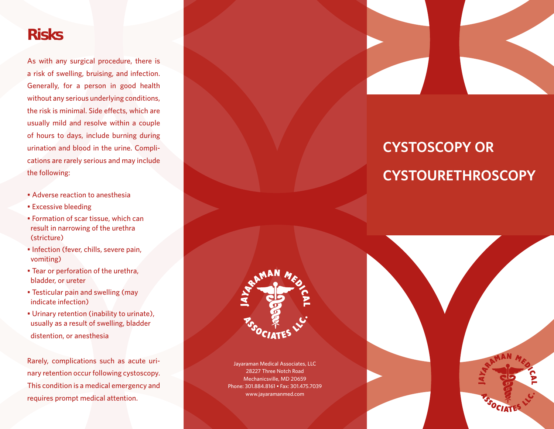### **Risks**

As with any surgical procedure, there is a risk of swelling, bruising, and infection. Generally, for a person in good health without any serious underlying conditions, the risk is minimal. Side effects, which are usually mild and resolve within a couple of hours to days, include burning during urination and blood in the urine. Complications are rarely serious and may include the following:

- Adverse reaction to anesthesia
- Excessive bleeding
- Formation of scar tissue, which can result in narrowing of the urethra (stricture)
- Infection (fever, chills, severe pain, vomiting)
- Tear or perforation of the urethra, bladder, or ureter
- Testicular pain and swelling (may indicate infection)
- Urinary retention (inability to urinate), usually as a result of swelling, bladder distention, or anesthesia

Rarely, complications such as acute urinary retention occur following cystoscopy. This condition is a medical emergency and requires prompt medical attention.



# **CYSTOSCOPY OR CYSTOURETHROSCOPY**



Jayaraman Medical Associates, LLC 28227 Three Notch Road Mechanicsville, MD 20659 Phone: 301.884.8161 • Fax: 301.475.7039 www.jayaramanmed.com